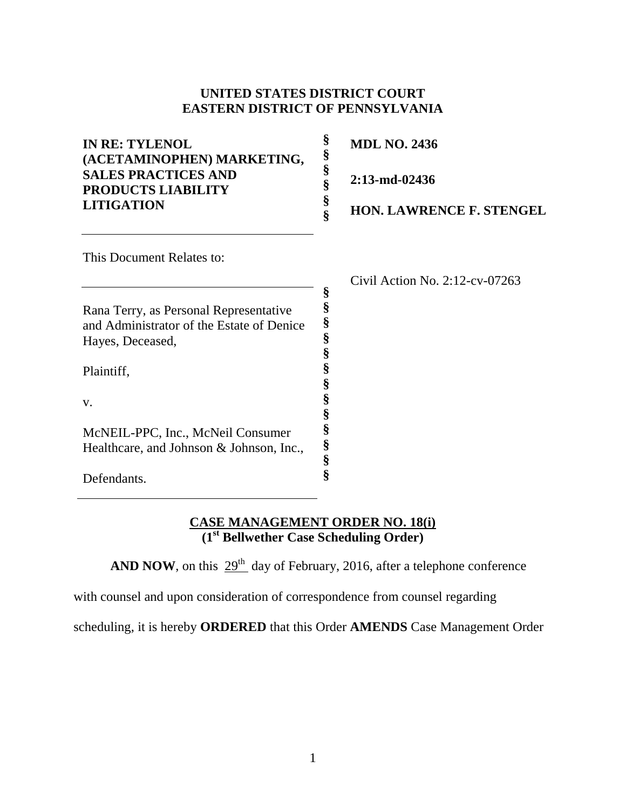#### **UNITED STATES DISTRICT COURT EASTERN DISTRICT OF PENNSYLVANIA**

| <b>IN RE: TYLENOL</b><br>(ACETAMINOPHEN) MARKETING,<br><b>SALES PRACTICES AND</b><br><b>PRODUCTS LIABILITY</b><br><b>LITIGATION</b> | §<br>§<br>§<br>ş<br>§ | <b>MDL NO. 2436</b><br>$2:13$ -md-02436<br><b>HON. LAWRENCE F. STENGEL</b> |
|-------------------------------------------------------------------------------------------------------------------------------------|-----------------------|----------------------------------------------------------------------------|
| This Document Relates to:                                                                                                           |                       |                                                                            |
|                                                                                                                                     | §                     | Civil Action No. $2:12$ -cv-07263                                          |
| Rana Terry, as Personal Representative                                                                                              |                       |                                                                            |
| and Administrator of the Estate of Denice                                                                                           | §                     |                                                                            |
| Hayes, Deceased,                                                                                                                    | §                     |                                                                            |
|                                                                                                                                     |                       |                                                                            |
| Plaintiff,                                                                                                                          |                       |                                                                            |
|                                                                                                                                     |                       |                                                                            |
| V.                                                                                                                                  |                       |                                                                            |
|                                                                                                                                     |                       |                                                                            |

#### **CASE MANAGEMENT ORDER NO. 18(i) (1st Bellwether Case Scheduling Order)**

**§ § § §**

**AND NOW**, on this  $29<sup>th</sup>$  day of February, 2016, after a telephone conference

with counsel and upon consideration of correspondence from counsel regarding

McNEIL-PPC, Inc., McNeil Consumer Healthcare, and Johnson & Johnson, Inc.,

Defendants.

scheduling, it is hereby **ORDERED** that this Order **AMENDS** Case Management Order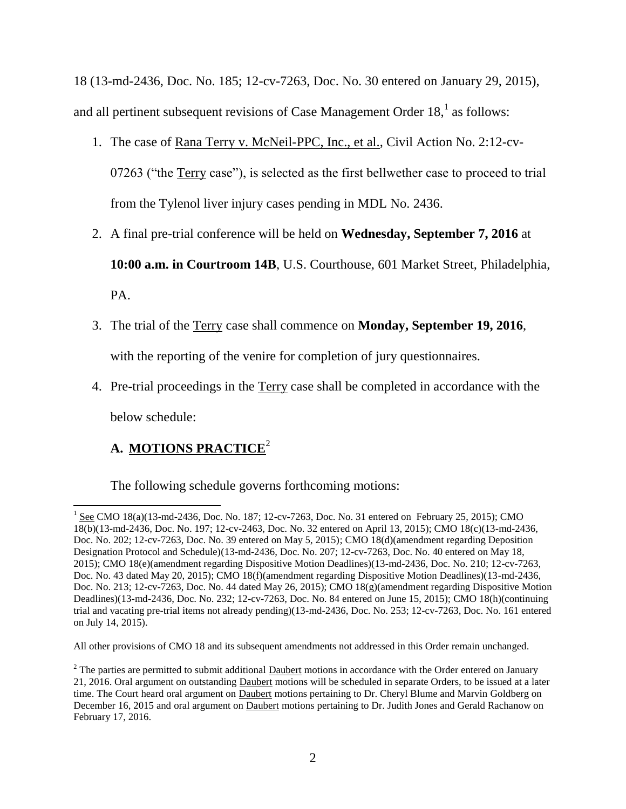18 (13-md-2436, Doc. No. 185; 12-cv-7263, Doc. No. 30 entered on January 29, 2015), and all pertinent subsequent revisions of Case Management Order  $18<sup>1</sup>$  as follows:

- 1. The case of Rana Terry v. McNeil-PPC, Inc., et al., Civil Action No. 2:12-cv-07263 ("the Terry case"), is selected as the first bellwether case to proceed to trial from the Tylenol liver injury cases pending in MDL No. 2436.
- 2. A final pre-trial conference will be held on **Wednesday, September 7, 2016** at **10:00 a.m. in Courtroom 14B**, U.S. Courthouse, 601 Market Street, Philadelphia, PA.
- 3. The trial of the Terry case shall commence on **Monday, September 19, 2016**, with the reporting of the venire for completion of jury questionnaires.
- 4. Pre-trial proceedings in the Terry case shall be completed in accordance with the below schedule:

# **A. MOTIONS PRACTICE**<sup>2</sup>

The following schedule governs forthcoming motions:

All other provisions of CMO 18 and its subsequent amendments not addressed in this Order remain unchanged.

 $\overline{\phantom{a}}$  $1 \text{ See } CMO 18(a)(13 \text{ -} \text{md} - 2436, \text{ Doc. No. } 187; 12 \text{ -cv} - 7263, \text{Doc. No. } 31 \text{ entered on February } 25, 2015); \text{ CMO}$ 18(b)(13-md-2436, Doc. No. 197; 12-cv-2463, Doc. No. 32 entered on April 13, 2015); CMO 18(c)(13-md-2436, Doc. No. 202; 12-cv-7263, Doc. No. 39 entered on May 5, 2015); CMO 18(d)(amendment regarding Deposition Designation Protocol and Schedule)(13-md-2436, Doc. No. 207; 12-cv-7263, Doc. No. 40 entered on May 18, 2015); CMO 18(e)(amendment regarding Dispositive Motion Deadlines)(13-md-2436, Doc. No. 210; 12-cv-7263, Doc. No. 43 dated May 20, 2015); CMO 18(f)(amendment regarding Dispositive Motion Deadlines)(13-md-2436, Doc. No. 213; 12-cv-7263, Doc. No. 44 dated May 26, 2015); CMO 18(g)(amendment regarding Dispositive Motion Deadlines)(13-md-2436, Doc. No. 232; 12-cv-7263, Doc. No. 84 entered on June 15, 2015); CMO 18(h)(continuing trial and vacating pre-trial items not already pending)(13-md-2436, Doc. No. 253; 12-cv-7263, Doc. No. 161 entered on July 14, 2015).

<sup>&</sup>lt;sup>2</sup> The parties are permitted to submit additional Daubert motions in accordance with the Order entered on January 21, 2016. Oral argument on outstanding Daubert motions will be scheduled in separate Orders, to be issued at a later time. The Court heard oral argument on Daubert motions pertaining to Dr. Cheryl Blume and Marvin Goldberg on December 16, 2015 and oral argument on Daubert motions pertaining to Dr. Judith Jones and Gerald Rachanow on February 17, 2016.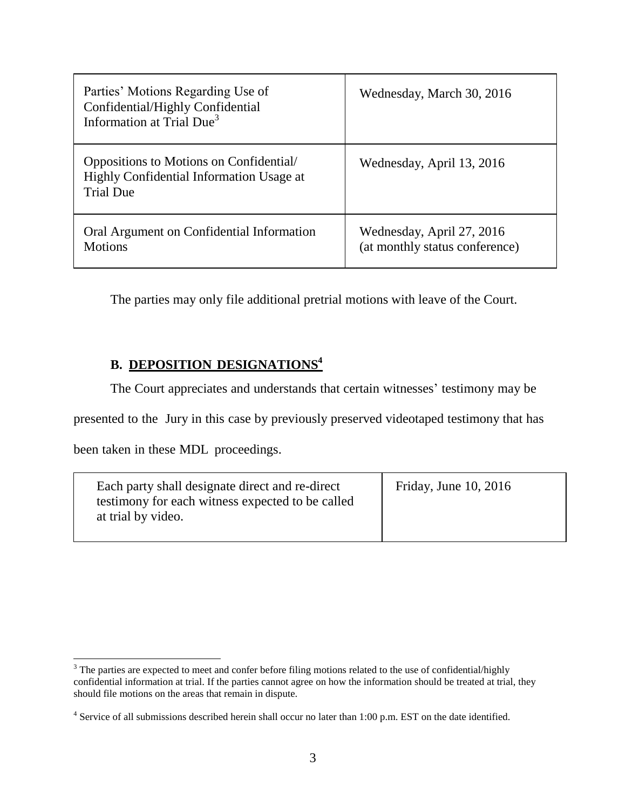| Parties' Motions Regarding Use of<br>Confidential/Highly Confidential<br>Information at Trial Due <sup>3</sup> | Wednesday, March 30, 2016                                   |
|----------------------------------------------------------------------------------------------------------------|-------------------------------------------------------------|
| Oppositions to Motions on Confidential/<br>Highly Confidential Information Usage at<br><b>Trial Due</b>        | Wednesday, April 13, 2016                                   |
| Oral Argument on Confidential Information<br><b>Motions</b>                                                    | Wednesday, April 27, 2016<br>(at monthly status conference) |

The parties may only file additional pretrial motions with leave of the Court.

## **B. DEPOSITION DESIGNATIONS<sup>4</sup>**

The Court appreciates and understands that certain witnesses' testimony may be

presented to the Jury in this case by previously preserved videotaped testimony that has

been taken in these MDL proceedings.

l

 $3$  The parties are expected to meet and confer before filing motions related to the use of confidential/highly confidential information at trial. If the parties cannot agree on how the information should be treated at trial, they should file motions on the areas that remain in dispute.

<sup>&</sup>lt;sup>4</sup> Service of all submissions described herein shall occur no later than 1:00 p.m. EST on the date identified.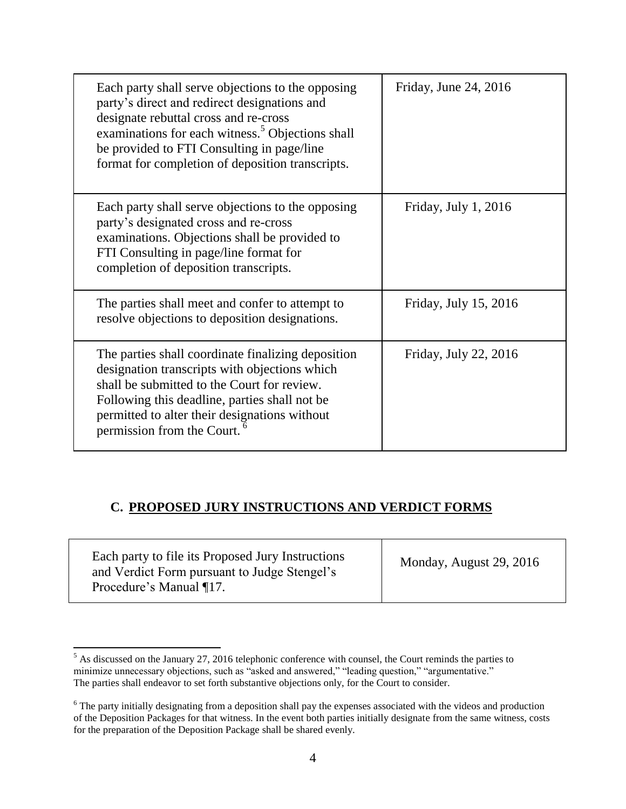| Each party shall serve objections to the opposing<br>party's direct and redirect designations and<br>designate rebuttal cross and re-cross<br>examinations for each witness. <sup>5</sup> Objections shall<br>be provided to FTI Consulting in page/line<br>format for completion of deposition transcripts. | Friday, June 24, 2016  |
|--------------------------------------------------------------------------------------------------------------------------------------------------------------------------------------------------------------------------------------------------------------------------------------------------------------|------------------------|
| Each party shall serve objections to the opposing<br>party's designated cross and re-cross<br>examinations. Objections shall be provided to<br>FTI Consulting in page/line format for<br>completion of deposition transcripts.                                                                               | Friday, July $1, 2016$ |
| The parties shall meet and confer to attempt to<br>resolve objections to deposition designations.                                                                                                                                                                                                            | Friday, July 15, 2016  |
| The parties shall coordinate finalizing deposition<br>designation transcripts with objections which<br>shall be submitted to the Court for review.<br>Following this deadline, parties shall not be<br>permitted to alter their designations without<br>permission from the Court.                           | Friday, July 22, 2016  |

#### **C. PROPOSED JURY INSTRUCTIONS AND VERDICT FORMS**

Each party to file its Proposed Jury Instructions and Verdict Form pursuant to Judge Stengel's Procedure's Manual ¶17.

 $\overline{\phantom{a}}$ 

Monday, August 29, 2016

 $<sup>5</sup>$  As discussed on the January 27, 2016 telephonic conference with counsel, the Court reminds the parties to</sup> minimize unnecessary objections, such as "asked and answered," "leading question," "argumentative." The parties shall endeavor to set forth substantive objections only, for the Court to consider.

<sup>&</sup>lt;sup>6</sup> The party initially designating from a deposition shall pay the expenses associated with the videos and production of the Deposition Packages for that witness. In the event both parties initially designate from the same witness, costs for the preparation of the Deposition Package shall be shared evenly.